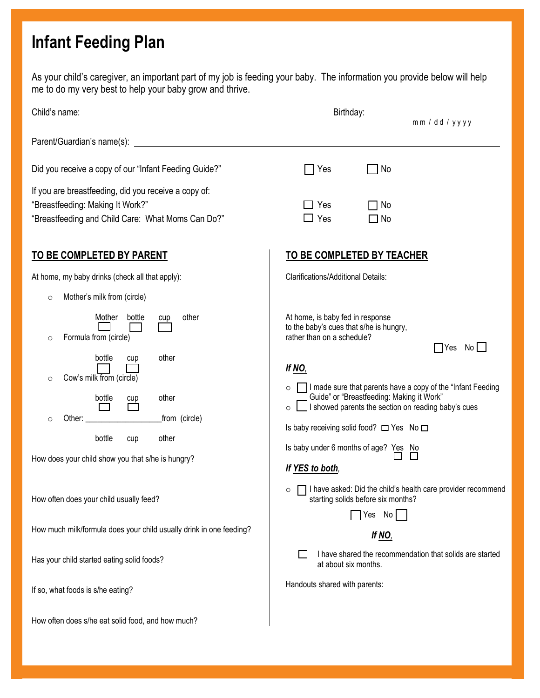## **Infant Feeding Plan**

As your child's caregiver, an important part of my job is feeding your baby. The information you provide below will help me to do my very best to help your baby grow and thrive.

| Did you receive a copy of our "Infant Feeding Guide?"                                                                                         | No<br>Yes                                                                                                                                                                                                                                                                   |  |  |
|-----------------------------------------------------------------------------------------------------------------------------------------------|-----------------------------------------------------------------------------------------------------------------------------------------------------------------------------------------------------------------------------------------------------------------------------|--|--|
| If you are breastfeeding, did you receive a copy of:<br>"Breastfeeding: Making It Work?"<br>"Breastfeeding and Child Care: What Moms Can Do?" | Yes<br>$\Box$ No<br>$\Box$ Yes<br>$\square$ No                                                                                                                                                                                                                              |  |  |
| <b>TO BE COMPLETED BY PARENT</b>                                                                                                              | <b>TO BE COMPLETED BY TEACHER</b>                                                                                                                                                                                                                                           |  |  |
| At home, my baby drinks (check all that apply):                                                                                               | <b>Clarifications/Additional Details:</b>                                                                                                                                                                                                                                   |  |  |
| Mother's milk from (circle)<br>$\circ$                                                                                                        |                                                                                                                                                                                                                                                                             |  |  |
| Mother<br>other<br>bottle<br>cup<br>Formula from (circle)<br>$\circ$<br>other<br>bottle<br>cup<br>Cow's milk from (circle)<br>$\circ$         | At home, is baby fed in response<br>to the baby's cues that s/he is hungry,<br>rather than on a schedule?<br>$\Box$ Yes No $\Box$<br>If $NO$ ,                                                                                                                              |  |  |
| other<br>bottle<br>$\Box$<br>_from (circle)<br>$\circ$<br>bottle<br>other<br>cup                                                              | I made sure that parents have a copy of the "Infant Feeding"<br>$\circ$<br>Guide" or "Breastfeeding: Making it Work"<br>I showed parents the section on reading baby's cues<br>$\circ$<br>Is baby receiving solid food? □ Yes No □<br>Is baby under 6 months of age? Yes No |  |  |
| How does your child show you that s/he is hungry?                                                                                             | If YES to both,                                                                                                                                                                                                                                                             |  |  |
| How often does your child usually feed?                                                                                                       | □ I have asked: Did the child's health care provider recommend<br>$\circ$<br>starting solids before six months?<br>Yes No                                                                                                                                                   |  |  |
| How much milk/formula does your child usually drink in one feeding?                                                                           | <u>If NO,</u>                                                                                                                                                                                                                                                               |  |  |
| Has your child started eating solid foods?                                                                                                    | I have shared the recommendation that solids are started<br>at about six months.                                                                                                                                                                                            |  |  |
| If so, what foods is s/he eating?                                                                                                             | Handouts shared with parents:                                                                                                                                                                                                                                               |  |  |
| How often does s/he eat solid food, and how much?                                                                                             |                                                                                                                                                                                                                                                                             |  |  |